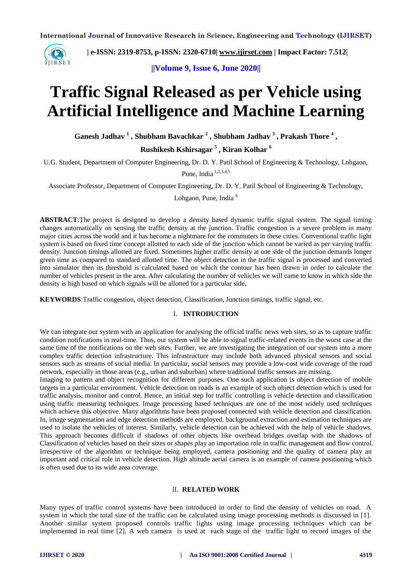

 **| e-ISSN: 2319-8753, p-ISSN: 2320-6710| [www.ijirset.com](http://www.ijirset.com/) | Impact Factor: 7.512|**

**||Volume 9, Issue 6, June 2020||** 

# **Traffic Signal Released as per Vehicle using Artificial Intelligence and Machine Learning**

**Ganesh Jadhav <sup>1</sup> , Shubham Bavachkar <sup>2</sup> , Shubham Jadhav <sup>3</sup> , Prakash Thore <sup>4</sup> ,** 

**Rushikesh Kshirsagar <sup>5</sup> , Kiran Kolhar <sup>6</sup>**

U.G. Student, Department of Computer Engineering, Dr. D. Y. Patil School of Engineering & Technology, Lohgaon,

Pune, India<sup>1,2,3,4,5</sup>

Associate Professor, Department of Computer Engineering, Dr. D. Y. Patil School of Engineering & Technology,

Lohgaon, Pune, India<sup>6</sup>

**ABSTRACT**:The project is designed to develop a density based dynamic traffic signal system. The signal timing changes automatically on sensing the traffic density at the junction. Traffic congestion is a severe problem in many major cities across the world and it has become a nightmare for the commuters in these cities. Conventional traffic light system is based on fixed time concept allotted to each side of the junction which cannot be varied as per varying traffic density. Junction timings allotted are fixed. Sometimes higher traffic density at one side of the junction demands longer green time as compared to standard allotted time. The object detection in the traffic signal is processed and converted into simulator then its threshold is calculated based on which the contour has been drawn in order to calculate the number of vehicles present in the area. After calculating the number of vehicles we will came to know in which side the density is high based on which signals will be allotted for a particular side**.**

**KEYWORDS**:Traffic congestion, object detection, Classification, Junction timings, traffic signal, etc.

# I. **INTRODUCTION**

We can integrate our system with an application for analysing the official traffic news web sites, so as to capture traffic condition notifications in real-time. Thus, our system will be able to signal traffic-related events in the worst case at the same time of the notifications on the web sites. Further, we are investigating the integration of our system into a more complex traffic detection infrastructure. This infrastructure may include both advanced physical sensors and social sensors such as streams of social media. In particular, social sensors may provide a low-cost wide coverage of the road network, especially in those areas (e.g., urban and suburban) where traditional traffic sensors are missing.

Imaging to pattern and object recognition for different purposes. One such application is object detection of mobile targets in a particular environment. Vehicle detection on roads is an example of such object detection which is used for traffic analysis, monitor and control. Hence, an initial step for traffic controlling is vehicle detection and classification using traffic measuring techniques. Image processing based techniques are one of the most widely used techniques which achieve this objective. Many algorithms have been proposed connected with vehicle detection and classification. In, image segmentation and edge detection methods are employed. background extraction and estimation techniques are used to isolate the vehicles of interest. Similarly, vehicle detection can be achieved with the help of vehicle shadows. This approach becomes difficult if shadows of other objects like overhead bridges overlap with the shadows of Classification of vehicles based on their sizes or shapes play an importation role in traffic management and flow control. Irrespective of the algorithm or technique being employed, camera positioning and the quality of camera play an important and critical role in vehicle detection. High altitude aerial camera is an example of camera positioning which is often used due to its wide area coverage.

## II. **RELATED WORK**

Many types of traffic control systems have been introduced in order to find the density of vehicles on road. A system in which the total size of the traffic can be calculated using image processing methods is discussed in [1]. Another similar system proposed controls traffic lights using image processing techniques which can be implemented in real time [2]. A web camera is used at each stage of the traffic light to record images of the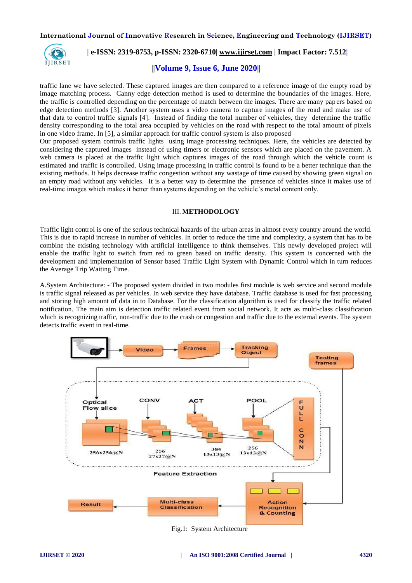**International Journal of Innovative Research in Science, Engineering and Technology (IJIRSET)**



# **| e-ISSN: 2319-8753, p-ISSN: 2320-6710| [www.ijirset.com](http://www.ijirset.com/) | Impact Factor: 7.512|**

## **||Volume 9, Issue 6, June 2020||**

traffic lane we have selected. These captured images are then compared to a reference image of the empty road by image matching process. Canny edge detection method is used to determine the boundaries of the images. Here, the traffic is controlled depending on the percentage of match between the images. There are many pap ers based on edge detection methods [3]. Another system uses a video camera to capture images of the road and make use of that data to control traffic signals [4]. Instead of finding the total number of vehicles, they determine the traffic density corresponding to the total area occupied by vehicles on the road with respect to the total amount of pixels in one video frame. In [5], a similar approach for traffic control system is also proposed

Our proposed system controls traffic lights using image processing techniques. Here, the vehicles are detected by considering the captured images instead of using timers or electronic sensors which are placed on the pavement. A web camera is placed at the traffic light which captures images of the road through which the vehicle count is estimated and traffic is controlled. Using image processing in traffic control is found to be a better technique than the existing methods. It helps decrease traffic congestion without any wastage of time caused by showing green signal on an empty road without any vehicles. It is a better way to determine the presence of vehicles since it makes use of real-time images which makes it better than systems depending on the vehicle's metal content only.

## III. **METHODOLOGY**

Traffic light control is one of the serious technical hazards of the urban areas in almost every country around the world. This is due to rapid increase in number of vehicles. In order to reduce the time and complexity, a system that has to be combine the existing technology with artificial intelligence to think themselves. This newly developed project will enable the traffic light to switch from red to green based on traffic density. This system is concerned with the development and implementation of Sensor based Traffic Light System with Dynamic Control which in turn reduces the Average Trip Waiting Time.

A.System Architecture: - The proposed system divided in two modules first module is web service and second module is traffic signal released as per vehicles. In web service they have database. Traffic database is used for fast processing and storing high amount of data in to Database. For the classification algorithm is used for classify the traffic related notification. The main aim is detection traffic related event from social network. It acts as multi-class classification which is recognizing traffic, non-traffic due to the crash or congestion and traffic due to the external events. The system detects traffic event in real-time.



Fig.1: System Architecture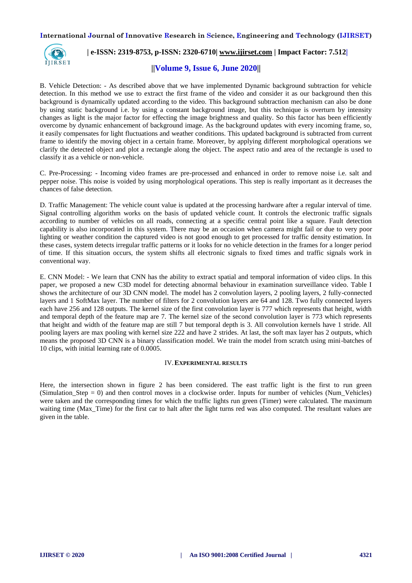**International Journal of Innovative Research in Science, Engineering and Technology (IJIRSET)**



# **| e-ISSN: 2319-8753, p-ISSN: 2320-6710| [www.ijirset.com](http://www.ijirset.com/) | Impact Factor: 7.512|**

## **||Volume 9, Issue 6, June 2020||**

B. Vehicle Detection: - As described above that we have implemented Dynamic background subtraction for vehicle detection. In this method we use to extract the first frame of the video and consider it as our background then this background is dynamically updated according to the video. This background subtraction mechanism can also be done by using static background i.e. by using a constant background image, but this technique is overturn by intensity changes as light is the major factor for effecting the image brightness and quality. So this factor has been efficiently overcome by dynamic enhancement of background image. As the background updates with every incoming frame, so, it easily compensates for light fluctuations and weather conditions. This updated background is subtracted from current frame to identify the moving object in a certain frame. Moreover, by applying different morphological operations we clarify the detected object and plot a rectangle along the object. The aspect ratio and area of the rectangle is used to classify it as a vehicle or non-vehicle.

C. Pre-Processing: - Incoming video frames are pre-processed and enhanced in order to remove noise i.e. salt and pepper noise. This noise is voided by using morphological operations. This step is really important as it decreases the chances of false detection.

D. Traffic Management: The vehicle count value is updated at the processing hardware after a regular interval of time. Signal controlling algorithm works on the basis of updated vehicle count. It controls the electronic traffic signals according to number of vehicles on all roads, connecting at a specific central point like a square. Fault detection capability is also incorporated in this system. There may be an occasion when camera might fail or due to very poor lighting or weather condition the captured video is not good enough to get processed for traffic density estimation. In these cases, system detects irregular traffic patterns or it looks for no vehicle detection in the frames for a longer period of time. If this situation occurs, the system shifts all electronic signals to fixed times and traffic signals work in conventional way.

E. CNN Model: - We learn that CNN has the ability to extract spatial and temporal information of video clips. In this paper, we proposed a new C3D model for detecting abnormal behaviour in examination surveillance video. Table I shows the architecture of our 3D CNN model. The model has 2 convolution layers, 2 pooling layers, 2 fully-connected layers and 1 SoftMax layer. The number of filters for 2 convolution layers are 64 and 128. Two fully connected layers each have 256 and 128 outputs. The kernel size of the first convolution layer is 777 which represents that height, width and temporal depth of the feature map are 7. The kernel size of the second convolution layer is 773 which represents that height and width of the feature map are still 7 but temporal depth is 3. All convolution kernels have 1 stride. All pooling layers are max pooling with kernel size 222 and have 2 strides. At last, the soft max layer has 2 outputs, which means the proposed 3D CNN is a binary classification model. We train the model from scratch using mini-batches of 10 clips, with initial learning rate of 0.0005.

## IV.**EXPERIMENTAL RESULTS**

Here, the intersection shown in figure 2 has been considered. The east traffic light is the first to run green (Simulation Step  $= 0$ ) and then control moves in a clockwise order. Inputs for number of vehicles (Num Vehicles) were taken and the corresponding times for which the traffic lights run green (Timer) were calculated. The maximum waiting time (Max\_Time) for the first car to halt after the light turns red was also computed. The resultant values are given in the table.